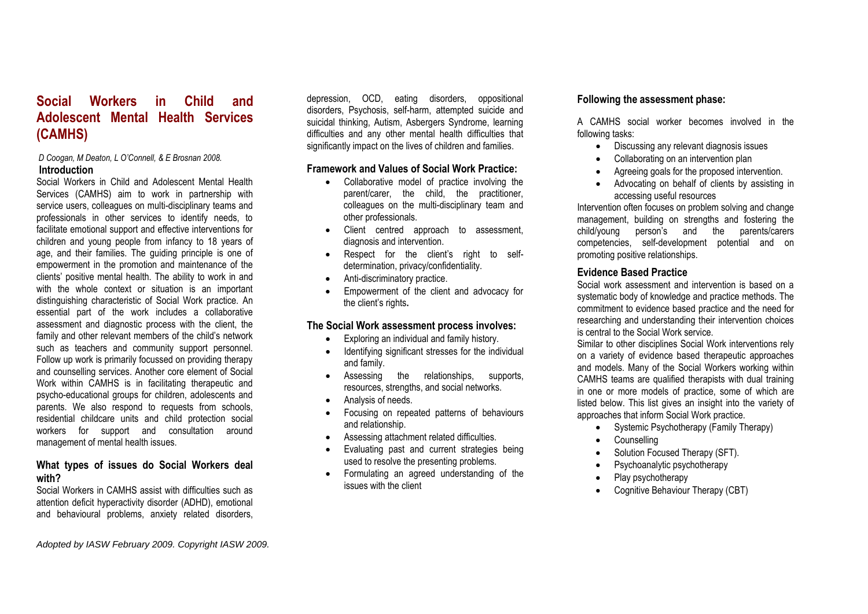# **Social Workers in Child and Adolescent Mental Health Services (CAMHS)**

#### *D Coogan, M Deaton, L O'Connell, & E Brosnan 2008.* **Introduction**

Social Workers in Child and Adolescent Mental Health Services (CAMHS) aim to work in partnership with service users, colleagues on multi-disciplinary teams and professionals in other services to identify needs, to facilitate emotional support and effective interventions for children and young people from infancy to 18 years of age, and their families. The guiding principle is one of empowerment in the promotion and maintenance of the clients' positive mental health. The ability to work in and with the whole context or situation is an important distinguishing characteristic of Social Work practice. An essential part of the work includes a collaborative assessment and diagnostic process with the client, the family and other relevant members of the child's network such as teachers and community support personnel. Follow up work is primarily focussed on providing therapy and counselling services. Another core element of Social Work within CAMHS is in facilitating therapeutic and psycho-educational groups for children, adolescents and parents. We also respond to requests from schools, residential childcare units and child protection social workers for support and consultation around management of mental health issues.

#### **What types of issues do Social Workers deal with?**

Social Workers in CAMHS assist with difficulties such as attention deficit hyperactivity disorder (ADHD), emotional and behavioural problems, anxiety related disorders,

depression, OCD, eating disorders, oppositional disorders, Psychosis, self-harm, attempted suicide and suicidal thinking, Autism, Asbergers Syndrome, learning difficulties and any other mental health difficulties that significantly impact on the lives of children and families.

## **Framework and Values of Social Work Practice:**

- Collaborative model of practice involving the parent/carer, the child, the practitioner, colleagues on the multi-disciplinary team and other professionals.
- Client centred approach to assessment, diagnosis and intervention.
- Respect for the client's right to selfdetermination, privacy/confidentiality.
- Anti-discriminatory practice.
- Empowerment of the client and advocacy for the client's rights**.**

# **The Social Work assessment process involves:**

- Exploring an individual and family history.
- Identifying significant stresses for the individual and family.
- Assessing the relationships, supports, resources, strengths, and social networks.
- Analysis of needs.
- Focusing on repeated patterns of behaviours and relationship.
- Assessing attachment related difficulties.
- Evaluating past and current strategies being used to resolve the presenting problems.
- Formulating an agreed understanding of the issues with the client

# **Following the assessment phase:**

A CAMHS social worker becomes involved in the following tasks:

- Discussing any relevant diagnosis issues
- Collaborating on an intervention plan
- Agreeing goals for the proposed intervention.
- Advocating on behalf of clients by assisting in accessing useful resources

Intervention often focuses on problem solving and change management, building on strengths and fostering the child/young person's and the parents/carers competencies, self-development potential and on promoting positive relationships.

## **Evidence Based Practice**

Social work assessment and intervention is based on a systematic body of knowledge and practice methods. The commitment to evidence based practice and the need for researching and understanding their intervention choices is central to the Social Work service.

Similar to other disciplines Social Work interventions rely on a variety of evidence based therapeutic approaches and models. Many of the Social Workers working within CAMHS teams are qualified therapists with dual training in one or more models of practice, some of which are listed below. This list gives an insight into the variety of approaches that inform Social Work practice.

- Systemic Psychotherapy (Family Therapy)
- Counselling
- Solution Focused Therapy (SFT).
- Psychoanalytic psychotherapy
- Play psychotherapy
- Cognitive Behaviour Therapy (CBT)